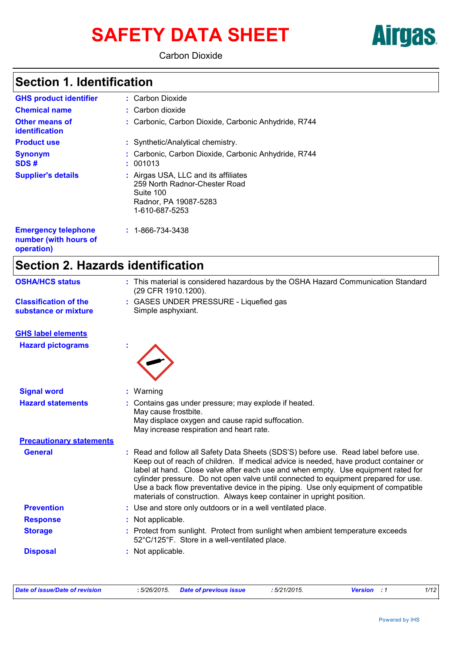# SAFETY DATA SHEET **Airgas**

Carbon Dioxide

# **Section 1. Identification**

| <b>GHS product identifier</b>           | : Carbon Dioxide                                                                                                              |
|-----------------------------------------|-------------------------------------------------------------------------------------------------------------------------------|
| <b>Chemical name</b>                    | $:$ Carbon dioxide                                                                                                            |
| <b>Other means of</b><br>identification | : Carbonic, Carbon Dioxide, Carbonic Anhydride, R744                                                                          |
| <b>Product use</b>                      | : Synthetic/Analytical chemistry.                                                                                             |
| <b>Synonym</b><br>SDS#                  | : Carbonic, Carbon Dioxide, Carbonic Anhydride, R744<br>: 001013                                                              |
| <b>Supplier's details</b>               | : Airgas USA, LLC and its affiliates<br>259 North Radnor-Chester Road<br>Suite 100<br>Radnor, PA 19087-5283<br>1-610-687-5253 |
| <b>Emergency telephone</b>              | $: 1 - 866 - 734 - 3438$                                                                                                      |

**Emergency telephone number (with hours of operation)**

# **Section 2. Hazards identification**

| <b>OSHA/HCS status</b>                               | : This material is considered hazardous by the OSHA Hazard Communication Standard<br>(29 CFR 1910.1200).                                                                                                                                                                                                                                                                                                                                                                                                               |
|------------------------------------------------------|------------------------------------------------------------------------------------------------------------------------------------------------------------------------------------------------------------------------------------------------------------------------------------------------------------------------------------------------------------------------------------------------------------------------------------------------------------------------------------------------------------------------|
| <b>Classification of the</b><br>substance or mixture | : GASES UNDER PRESSURE - Liquefied gas<br>Simple asphyxiant.                                                                                                                                                                                                                                                                                                                                                                                                                                                           |
| <b>GHS label elements</b>                            |                                                                                                                                                                                                                                                                                                                                                                                                                                                                                                                        |
| <b>Hazard pictograms</b>                             |                                                                                                                                                                                                                                                                                                                                                                                                                                                                                                                        |
| <b>Signal word</b>                                   | : Warning                                                                                                                                                                                                                                                                                                                                                                                                                                                                                                              |
| <b>Hazard statements</b>                             | : Contains gas under pressure; may explode if heated.<br>May cause frostbite.<br>May displace oxygen and cause rapid suffocation.<br>May increase respiration and heart rate.                                                                                                                                                                                                                                                                                                                                          |
| <b>Precautionary statements</b>                      |                                                                                                                                                                                                                                                                                                                                                                                                                                                                                                                        |
| <b>General</b>                                       | Read and follow all Safety Data Sheets (SDS'S) before use. Read label before use.<br>Keep out of reach of children. If medical advice is needed, have product container or<br>label at hand. Close valve after each use and when empty. Use equipment rated for<br>cylinder pressure. Do not open valve until connected to equipment prepared for use.<br>Use a back flow preventative device in the piping. Use only equipment of compatible<br>materials of construction. Always keep container in upright position. |
| <b>Prevention</b>                                    | : Use and store only outdoors or in a well ventilated place.                                                                                                                                                                                                                                                                                                                                                                                                                                                           |
| <b>Response</b>                                      | Not applicable.                                                                                                                                                                                                                                                                                                                                                                                                                                                                                                        |
| <b>Storage</b>                                       | Protect from sunlight. Protect from sunlight when ambient temperature exceeds<br>52°C/125°F. Store in a well-ventilated place.                                                                                                                                                                                                                                                                                                                                                                                         |
| <b>Disposal</b>                                      | Not applicable.                                                                                                                                                                                                                                                                                                                                                                                                                                                                                                        |

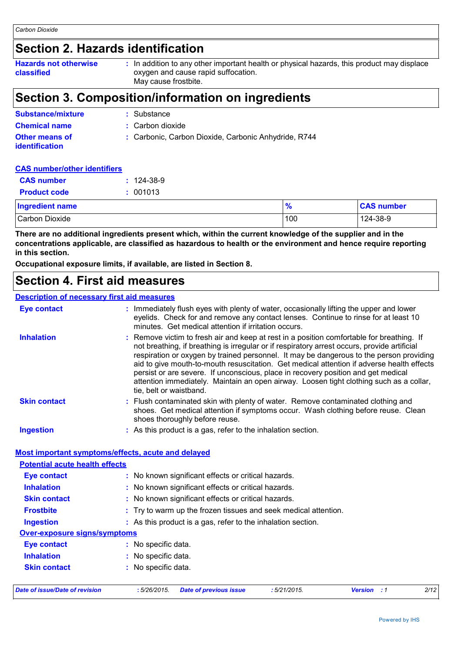# **Section 2. Hazards identification**

| <b>Hazards not otherwise</b><br>classified | : In addition to any other important health or physical hazards, this product may displace<br>oxygen and cause rapid suffocation.<br>May cause frostbite. |
|--------------------------------------------|-----------------------------------------------------------------------------------------------------------------------------------------------------------|
|                                            |                                                                                                                                                           |

## **Section 3. Composition/information on ingredients**

| <b>Substance/mixture</b>                | : Substance                                          |
|-----------------------------------------|------------------------------------------------------|
| <b>Chemical name</b>                    | : Carbon dioxide                                     |
| Other means of<br><b>identification</b> | : Carbonic, Carbon Dioxide, Carbonic Anhydride, R744 |

#### **CAS number/other identifiers**

| <b>CAS number</b>      | $: 124 - 38 - 9$ |               |                   |
|------------------------|------------------|---------------|-------------------|
| <b>Product code</b>    | : 001013         |               |                   |
| <b>Ingredient name</b> |                  | $\frac{9}{6}$ | <b>CAS number</b> |
| Carbon Dioxide         |                  | 100           | 124-38-9          |

**There are no additional ingredients present which, within the current knowledge of the supplier and in the concentrations applicable, are classified as hazardous to health or the environment and hence require reporting in this section.**

**Occupational exposure limits, if available, are listed in Section 8.**

### **Section 4. First aid measures**

#### **Description of necessary first aid measures**

| <b>Eye contact</b>                                 | : Immediately flush eyes with plenty of water, occasionally lifting the upper and lower<br>eyelids. Check for and remove any contact lenses. Continue to rinse for at least 10<br>minutes. Get medical attention if irritation occurs.                                                                                                                                                                                                                                                                                                                                                       |
|----------------------------------------------------|----------------------------------------------------------------------------------------------------------------------------------------------------------------------------------------------------------------------------------------------------------------------------------------------------------------------------------------------------------------------------------------------------------------------------------------------------------------------------------------------------------------------------------------------------------------------------------------------|
| <b>Inhalation</b>                                  | : Remove victim to fresh air and keep at rest in a position comfortable for breathing. If<br>not breathing, if breathing is irregular or if respiratory arrest occurs, provide artificial<br>respiration or oxygen by trained personnel. It may be dangerous to the person providing<br>aid to give mouth-to-mouth resuscitation. Get medical attention if adverse health effects<br>persist or are severe. If unconscious, place in recovery position and get medical<br>attention immediately. Maintain an open airway. Loosen tight clothing such as a collar,<br>tie, belt or waistband. |
| <b>Skin contact</b>                                | : Flush contaminated skin with plenty of water. Remove contaminated clothing and<br>shoes. Get medical attention if symptoms occur. Wash clothing before reuse. Clean<br>shoes thoroughly before reuse.                                                                                                                                                                                                                                                                                                                                                                                      |
| <b>Ingestion</b>                                   | : As this product is a gas, refer to the inhalation section.                                                                                                                                                                                                                                                                                                                                                                                                                                                                                                                                 |
|                                                    |                                                                                                                                                                                                                                                                                                                                                                                                                                                                                                                                                                                              |
| Most important symptoms/effects, acute and delayed |                                                                                                                                                                                                                                                                                                                                                                                                                                                                                                                                                                                              |
| <b>Potential acute health effects</b>              |                                                                                                                                                                                                                                                                                                                                                                                                                                                                                                                                                                                              |
| <b>Eye contact</b>                                 | : No known significant effects or critical hazards.                                                                                                                                                                                                                                                                                                                                                                                                                                                                                                                                          |
| <b>Inhalation</b>                                  | : No known significant effects or critical hazards.                                                                                                                                                                                                                                                                                                                                                                                                                                                                                                                                          |
| <b>Skin contact</b>                                | : No known significant effects or critical hazards.                                                                                                                                                                                                                                                                                                                                                                                                                                                                                                                                          |
| <b>Frostbite</b>                                   | : Try to warm up the frozen tissues and seek medical attention.                                                                                                                                                                                                                                                                                                                                                                                                                                                                                                                              |
| <b>Ingestion</b>                                   | : As this product is a gas, refer to the inhalation section.                                                                                                                                                                                                                                                                                                                                                                                                                                                                                                                                 |
| <b>Over-exposure signs/symptoms</b>                |                                                                                                                                                                                                                                                                                                                                                                                                                                                                                                                                                                                              |
| <b>Eye contact</b>                                 | : No specific data.                                                                                                                                                                                                                                                                                                                                                                                                                                                                                                                                                                          |
| <b>Inhalation</b>                                  | : No specific data.                                                                                                                                                                                                                                                                                                                                                                                                                                                                                                                                                                          |
| <b>Skin contact</b>                                | : No specific data.                                                                                                                                                                                                                                                                                                                                                                                                                                                                                                                                                                          |
| <b>Date of issue/Date of revision</b>              | 2/12<br>:5/26/2015.<br>:5/21/2015.<br><b>Version</b> : 1<br><b>Date of previous issue</b>                                                                                                                                                                                                                                                                                                                                                                                                                                                                                                    |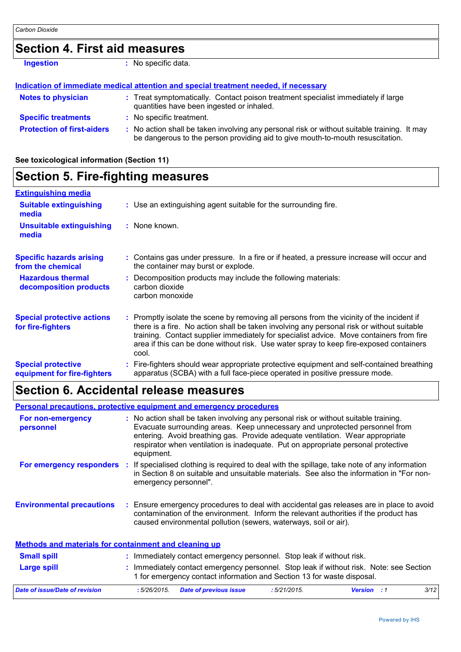### **Section 4. First aid measures**

```
Ingestion : No specific data.
```
#### **Indication of immediate medical attention and special treatment needed, if necessary**

| <b>Notes to physician</b>         | : Treat symptomatically. Contact poison treatment specialist immediately if large<br>quantities have been ingested or inhaled.                                                |  |
|-----------------------------------|-------------------------------------------------------------------------------------------------------------------------------------------------------------------------------|--|
| <b>Specific treatments</b>        | : No specific treatment.                                                                                                                                                      |  |
| <b>Protection of first-aiders</b> | : No action shall be taken involving any personal risk or without suitable training. It may<br>be dangerous to the person providing aid to give mouth-to-mouth resuscitation. |  |

#### **See toxicological information (Section 11)**

#### **Section 5. Fire-fighting measures :** Promptly isolate the scene by removing all persons from the vicinity of the incident if there is a fire. No action shall be taken involving any personal risk or without suitable training. Contact supplier immediately for specialist advice. Move containers from fire area if this can be done without risk. Use water spray to keep fire-exposed containers cool. **Hazardous thermal decomposition products Specific hazards arising from the chemical** Decomposition products may include the following materials: **:** carbon dioxide carbon monoxide Contains gas under pressure. In a fire or if heated, a pressure increase will occur and **:** the container may burst or explode. Fire-fighters should wear appropriate protective equipment and self-contained breathing **:** apparatus (SCBA) with a full face-piece operated in positive pressure mode. **Special protective equipment for fire-fighters** Use an extinguishing agent suitable for the surrounding fire. **: Extinguishing media :** None known. **Suitable extinguishing media Unsuitable extinguishing media Special protective actions for fire-fighters**

### **Section 6. Accidental release measures**

#### **Environmental precautions Personal precautions, protective equipment and emergency procedures :** Ensure emergency procedures to deal with accidental gas releases are in place to avoid **:** No action shall be taken involving any personal risk or without suitable training. Evacuate surrounding areas. Keep unnecessary and unprotected personnel from entering. Avoid breathing gas. Provide adequate ventilation. Wear appropriate respirator when ventilation is inadequate. Put on appropriate personal protective equipment. contamination of the environment. Inform the relevant authorities if the product has caused environmental pollution (sewers, waterways, soil or air). **For non-emergency personnel For emergency responders :** If specialised clothing is required to deal with the spillage, take note of any information in Section 8 on suitable and unsuitable materials. See also the information in "For nonemergency personnel".

| Methods and materials for containment and cleaning up                                     |                                              |                                                                                                                                                                 |                    |      |  |  |  |
|-------------------------------------------------------------------------------------------|----------------------------------------------|-----------------------------------------------------------------------------------------------------------------------------------------------------------------|--------------------|------|--|--|--|
| <b>Small spill</b><br>Immediately contact emergency personnel. Stop leak if without risk. |                                              |                                                                                                                                                                 |                    |      |  |  |  |
| <b>Large spill</b>                                                                        |                                              | Immediately contact emergency personnel. Stop leak if without risk. Note: see Section<br>1 for emergency contact information and Section 13 for waste disposal. |                    |      |  |  |  |
| Date of issue/Date of revision                                                            | <b>Date of previous issue</b><br>:5/26/2015. | $:5/21/2015$ .                                                                                                                                                  | <b>Version</b> : 1 | 3/12 |  |  |  |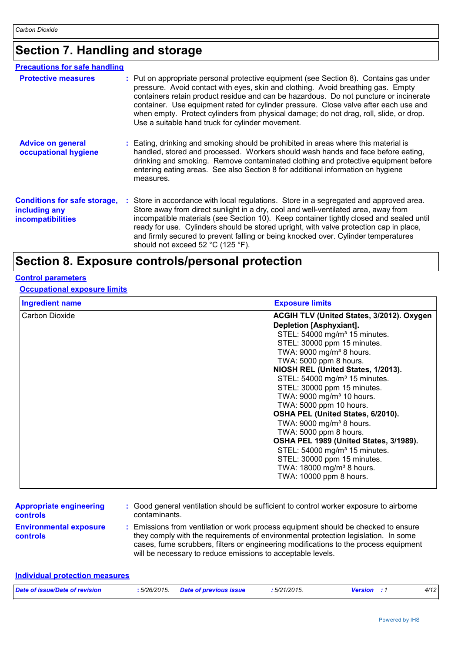# **Section 7. Handling and storage**

| <b>Precautions for safe handling</b>                                      |                                                                                                                                                                                                                                                                                                                                                                                                                                                                                                           |
|---------------------------------------------------------------------------|-----------------------------------------------------------------------------------------------------------------------------------------------------------------------------------------------------------------------------------------------------------------------------------------------------------------------------------------------------------------------------------------------------------------------------------------------------------------------------------------------------------|
| <b>Protective measures</b>                                                | : Put on appropriate personal protective equipment (see Section 8). Contains gas under<br>pressure. Avoid contact with eyes, skin and clothing. Avoid breathing gas. Empty<br>containers retain product residue and can be hazardous. Do not puncture or incinerate<br>container. Use equipment rated for cylinder pressure. Close valve after each use and<br>when empty. Protect cylinders from physical damage; do not drag, roll, slide, or drop.<br>Use a suitable hand truck for cylinder movement. |
| <b>Advice on general</b><br>occupational hygiene                          | : Eating, drinking and smoking should be prohibited in areas where this material is<br>handled, stored and processed. Workers should wash hands and face before eating,<br>drinking and smoking. Remove contaminated clothing and protective equipment before<br>entering eating areas. See also Section 8 for additional information on hygiene<br>measures.                                                                                                                                             |
| <b>Conditions for safe storage,</b><br>including any<br>incompatibilities | : Store in accordance with local regulations. Store in a segregated and approved area.<br>Store away from direct sunlight in a dry, cool and well-ventilated area, away from<br>incompatible materials (see Section 10). Keep container tightly closed and sealed until<br>ready for use. Cylinders should be stored upright, with valve protection cap in place,<br>and firmly secured to prevent falling or being knocked over. Cylinder temperatures<br>should not exceed 52 °C (125 °F).              |

# **Section 8. Exposure controls/personal protection**

#### **Control parameters**

#### **Occupational exposure limits**

| <b>Ingredient name</b> | <b>Exposure limits</b>                           |
|------------------------|--------------------------------------------------|
| Carbon Dioxide         | <b>ACGIH TLV (United States, 3/2012). Oxygen</b> |
|                        | Depletion [Asphyxiant].                          |
|                        | STEL: 54000 mg/m <sup>3</sup> 15 minutes.        |
|                        | STEL: 30000 ppm 15 minutes.                      |
|                        | TWA: 9000 mg/m <sup>3</sup> 8 hours.             |
|                        | TWA: 5000 ppm 8 hours.                           |
|                        | NIOSH REL (United States, 1/2013).               |
|                        | STEL: 54000 mg/m <sup>3</sup> 15 minutes.        |
|                        | STEL: 30000 ppm 15 minutes.                      |
|                        | TWA: 9000 mg/m <sup>3</sup> 10 hours.            |
|                        | TWA: 5000 ppm 10 hours.                          |
|                        | OSHA PEL (United States, 6/2010).                |
|                        | TWA: 9000 mg/m <sup>3</sup> 8 hours.             |
|                        | TWA: 5000 ppm 8 hours.                           |
|                        | OSHA PEL 1989 (United States, 3/1989).           |
|                        | STEL: 54000 mg/m <sup>3</sup> 15 minutes.        |
|                        | STEL: 30000 ppm 15 minutes.                      |
|                        | TWA: 18000 mg/m <sup>3</sup> 8 hours.            |
|                        | TWA: 10000 ppm 8 hours.                          |
|                        |                                                  |

| <b>Appropriate engineering</b>                   | : Good general ventilation should be sufficient to control worker exposure to airborne                                                                                                                                                                                                                                          |
|--------------------------------------------------|---------------------------------------------------------------------------------------------------------------------------------------------------------------------------------------------------------------------------------------------------------------------------------------------------------------------------------|
| <b>controls</b>                                  | contaminants.                                                                                                                                                                                                                                                                                                                   |
| <b>Environmental exposure</b><br><b>controls</b> | : Emissions from ventilation or work process equipment should be checked to ensure<br>they comply with the requirements of environmental protection legislation. In some<br>cases, fume scrubbers, filters or engineering modifications to the process equipment<br>will be necessary to reduce emissions to acceptable levels. |

| Individual protection measures |                                    |              |                    |      |
|--------------------------------|------------------------------------|--------------|--------------------|------|
| Date of issue/Date of revision | : 5/26/2015 Date of previous issue | : 5/21/2015. | <b>Version</b> : 1 | 4/12 |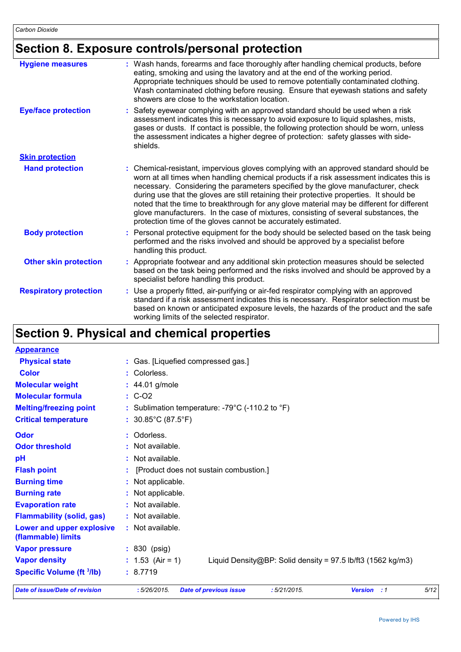# **Section 8. Exposure controls/personal protection**

| <b>Hygiene measures</b>       | : Wash hands, forearms and face thoroughly after handling chemical products, before<br>eating, smoking and using the lavatory and at the end of the working period.<br>Appropriate techniques should be used to remove potentially contaminated clothing.<br>Wash contaminated clothing before reusing. Ensure that eyewash stations and safety<br>showers are close to the workstation location.                                                                                                                                                                                                                      |
|-------------------------------|------------------------------------------------------------------------------------------------------------------------------------------------------------------------------------------------------------------------------------------------------------------------------------------------------------------------------------------------------------------------------------------------------------------------------------------------------------------------------------------------------------------------------------------------------------------------------------------------------------------------|
| <b>Eye/face protection</b>    | : Safety eyewear complying with an approved standard should be used when a risk<br>assessment indicates this is necessary to avoid exposure to liquid splashes, mists,<br>gases or dusts. If contact is possible, the following protection should be worn, unless<br>the assessment indicates a higher degree of protection: safety glasses with side-<br>shields.                                                                                                                                                                                                                                                     |
| <b>Skin protection</b>        |                                                                                                                                                                                                                                                                                                                                                                                                                                                                                                                                                                                                                        |
| <b>Hand protection</b>        | : Chemical-resistant, impervious gloves complying with an approved standard should be<br>worn at all times when handling chemical products if a risk assessment indicates this is<br>necessary. Considering the parameters specified by the glove manufacturer, check<br>during use that the gloves are still retaining their protective properties. It should be<br>noted that the time to breakthrough for any glove material may be different for different<br>glove manufacturers. In the case of mixtures, consisting of several substances, the<br>protection time of the gloves cannot be accurately estimated. |
| <b>Body protection</b>        | : Personal protective equipment for the body should be selected based on the task being<br>performed and the risks involved and should be approved by a specialist before<br>handling this product.                                                                                                                                                                                                                                                                                                                                                                                                                    |
| <b>Other skin protection</b>  | : Appropriate footwear and any additional skin protection measures should be selected<br>based on the task being performed and the risks involved and should be approved by a<br>specialist before handling this product.                                                                                                                                                                                                                                                                                                                                                                                              |
| <b>Respiratory protection</b> | : Use a properly fitted, air-purifying or air-fed respirator complying with an approved<br>standard if a risk assessment indicates this is necessary. Respirator selection must be<br>based on known or anticipated exposure levels, the hazards of the product and the safe<br>working limits of the selected respirator.                                                                                                                                                                                                                                                                                             |

# **Section 9. Physical and chemical properties**

| <b>Appearance</b>                               |                                                                                             |      |
|-------------------------------------------------|---------------------------------------------------------------------------------------------|------|
| <b>Physical state</b>                           | : Gas. [Liquefied compressed gas.]                                                          |      |
| <b>Color</b>                                    | : Colorless.                                                                                |      |
| <b>Molecular weight</b>                         | $: 44.01$ g/mole                                                                            |      |
| <b>Molecular formula</b>                        | $\therefore$ C-O2                                                                           |      |
| <b>Melting/freezing point</b>                   | : Sublimation temperature: -79°C (-110.2 to °F)                                             |      |
| <b>Critical temperature</b>                     | : $30.85^{\circ}$ C (87.5 $^{\circ}$ F)                                                     |      |
| Odor                                            | : Odorless.                                                                                 |      |
| <b>Odor threshold</b>                           | : Not available.                                                                            |      |
| pH                                              | : Not available.                                                                            |      |
| <b>Flash point</b>                              | [Product does not sustain combustion.]                                                      |      |
| <b>Burning time</b>                             | : Not applicable.                                                                           |      |
| <b>Burning rate</b>                             | : Not applicable.                                                                           |      |
| <b>Evaporation rate</b>                         | : Not available.                                                                            |      |
| <b>Flammability (solid, gas)</b>                | : Not available.                                                                            |      |
| Lower and upper explosive<br>(flammable) limits | : Not available.                                                                            |      |
| <b>Vapor pressure</b>                           | : 830 (psig)                                                                                |      |
| <b>Vapor density</b>                            | : $1.53$ (Air = 1)<br>Liquid Density@BP: Solid density = $97.5$ lb/ft3 (1562 kg/m3)         |      |
| <b>Specific Volume (ft 3/lb)</b>                | : 8.7719                                                                                    |      |
| <b>Date of issue/Date of revision</b>           | :5/26/2015.<br><b>Date of previous issue</b><br>:5/21/2015.<br><b>Version</b><br>$\cdot$ :1 | 5/12 |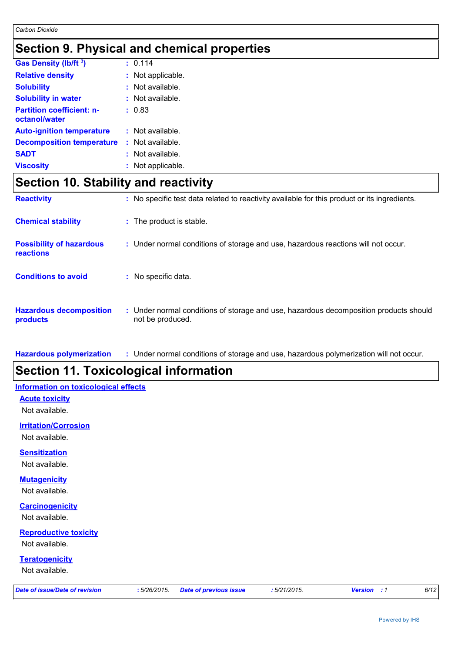# **Section 9. Physical and chemical properties**

| <b>Gas Density (lb/ft 3)</b>                      | : 0.114            |
|---------------------------------------------------|--------------------|
| <b>Relative density</b>                           | : Not applicable.  |
| <b>Solubility</b>                                 | $:$ Not available. |
| <b>Solubility in water</b>                        | : Not available.   |
| <b>Partition coefficient: n-</b><br>octanol/water | : 0.83             |
| <b>Auto-ignition temperature</b>                  | : Not available.   |
| <b>Decomposition temperature</b>                  | $:$ Not available. |
| <b>SADT</b>                                       | $:$ Not available. |
| <b>Viscosity</b>                                  | : Not applicable.  |

## **Section 10. Stability and reactivity**

| <b>Reactivity</b>                                   | : No specific test data related to reactivity available for this product or its ingredients.              |
|-----------------------------------------------------|-----------------------------------------------------------------------------------------------------------|
| <b>Chemical stability</b>                           | : The product is stable.                                                                                  |
| <b>Possibility of hazardous</b><br><b>reactions</b> | : Under normal conditions of storage and use, hazardous reactions will not occur.                         |
| <b>Conditions to avoid</b>                          | : No specific data.                                                                                       |
| <b>Hazardous decomposition</b><br>products          | : Under normal conditions of storage and use, hazardous decomposition products should<br>not be produced. |

**Hazardous polymerization :** Under normal conditions of storage and use, hazardous polymerization will not occur.

# **Section 11. Toxicological information**

#### **Information on toxicological effects**

**Acute toxicity**

Not available.

**Irritation/Corrosion**

Not available.

#### **Sensitization**

Not available.

#### **Mutagenicity**

Not available.

#### **Carcinogenicity**

Not available.

### **Reproductive toxicity**

Not available.

#### **Teratogenicity**

Not available.

|  |  | Date of issue/Date of revision |
|--|--|--------------------------------|
|  |  |                                |

*Date of issue/Date of revision* **:** *5/26/2015. Date of previous issue : 5/21/2015. Version : 1 6/12*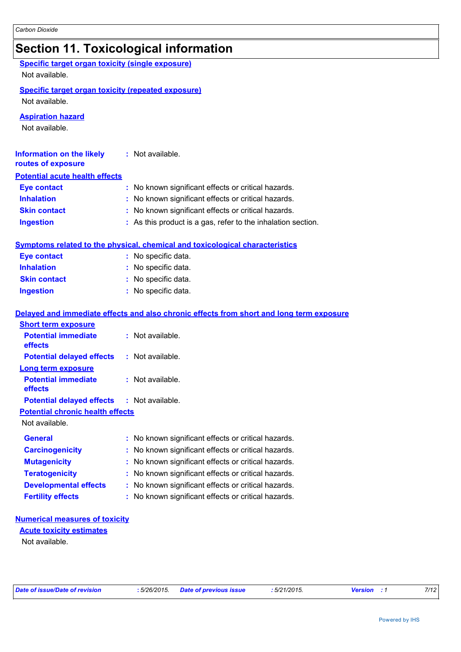# **Section 11. Toxicological information**

| <b>Specific target organ toxicity (single exposure)</b><br>Not available.   |                                                                                          |
|-----------------------------------------------------------------------------|------------------------------------------------------------------------------------------|
| <b>Specific target organ toxicity (repeated exposure)</b><br>Not available. |                                                                                          |
| <b>Aspiration hazard</b><br>Not available.                                  |                                                                                          |
| <b>Information on the likely</b><br>routes of exposure                      | : Not available.                                                                         |
| <b>Potential acute health effects</b>                                       |                                                                                          |
| <b>Eye contact</b>                                                          | : No known significant effects or critical hazards.                                      |
| <b>Inhalation</b>                                                           | : No known significant effects or critical hazards.                                      |
| <b>Skin contact</b>                                                         | : No known significant effects or critical hazards.                                      |
| <b>Ingestion</b>                                                            | : As this product is a gas, refer to the inhalation section.                             |
|                                                                             | <b>Symptoms related to the physical, chemical and toxicological characteristics</b>      |
| <b>Eye contact</b>                                                          | : No specific data.                                                                      |
| <b>Inhalation</b>                                                           | : No specific data.                                                                      |
| <b>Skin contact</b>                                                         | : No specific data.                                                                      |
| <b>Ingestion</b>                                                            | : No specific data.                                                                      |
|                                                                             | Delayed and immediate effects and also chronic effects from short and long term exposure |
| <b>Short term exposure</b>                                                  |                                                                                          |
| <b>Potential immediate</b><br>effects                                       | : Not available.                                                                         |
| <b>Potential delayed effects</b>                                            | : Not available.                                                                         |
| <b>Long term exposure</b>                                                   |                                                                                          |
| <b>Potential immediate</b><br>effects                                       | : Not available.                                                                         |
| <b>Potential delayed effects</b>                                            | : Not available.                                                                         |
| <b>Potential chronic health effects</b>                                     |                                                                                          |
| Not available.                                                              |                                                                                          |
| <b>General</b>                                                              | : No known significant effects or critical hazards.                                      |
| <b>Carcinogenicity</b>                                                      | No known significant effects or critical hazards.                                        |
| <b>Mutagenicity</b>                                                         | No known significant effects or critical hazards.                                        |
| <b>Teratogenicity</b>                                                       | No known significant effects or critical hazards.                                        |
| <b>Developmental effects</b>                                                | No known significant effects or critical hazards.                                        |
| <b>Fertility effects</b>                                                    | No known significant effects or critical hazards.                                        |
| <b>Numerical measures of toxicity</b>                                       |                                                                                          |
| <b>Acute toxicity estimates</b>                                             |                                                                                          |
| Not available.                                                              |                                                                                          |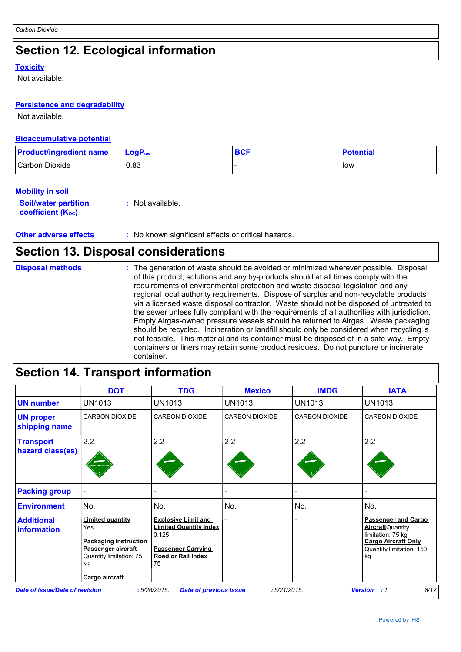# **Section 12. Ecological information**

#### **Toxicity**

Not available.

#### **Persistence and degradability**

Not available.

#### **Bioaccumulative potential**

| <b>Product/ingredient name</b> | $\mathsf{LogP}_\mathsf{ow}$ | <b>BCF</b> | <b>Potential</b> |
|--------------------------------|-----------------------------|------------|------------------|
| Carbon Dioxide                 | 0.83                        |            | low              |

#### **Mobility in soil**

**Soil/water partition coefficient (KOC) :** Not available.

**Other adverse effects :** No known significant effects or critical hazards.

### **Section 13. Disposal considerations**

**Disposal methods :**

The generation of waste should be avoided or minimized wherever possible. Disposal of this product, solutions and any by-products should at all times comply with the requirements of environmental protection and waste disposal legislation and any regional local authority requirements. Dispose of surplus and non-recyclable products via a licensed waste disposal contractor. Waste should not be disposed of untreated to the sewer unless fully compliant with the requirements of all authorities with jurisdiction. Empty Airgas-owned pressure vessels should be returned to Airgas. Waste packaging should be recycled. Incineration or landfill should only be considered when recycling is not feasible. This material and its container must be disposed of in a safe way. Empty containers or liners may retain some product residues. Do not puncture or incinerate container.

|                                         | <b>DOT</b>                                                                                                             | <b>TDG</b>                                                                                                                           | <b>Mexico</b>            | <b>IMDG</b>           | <b>IATA</b>                                                                                                                                 |
|-----------------------------------------|------------------------------------------------------------------------------------------------------------------------|--------------------------------------------------------------------------------------------------------------------------------------|--------------------------|-----------------------|---------------------------------------------------------------------------------------------------------------------------------------------|
| <b>UN number</b>                        | <b>UN1013</b>                                                                                                          | UN1013                                                                                                                               | <b>UN1013</b>            | <b>UN1013</b>         | UN1013                                                                                                                                      |
| <b>UN proper</b><br>shipping name       | <b>CARBON DIOXIDE</b>                                                                                                  | <b>CARBON DIOXIDE</b>                                                                                                                | <b>CARBON DIOXIDE</b>    | <b>CARBON DIOXIDE</b> | <b>CARBON DIOXIDE</b>                                                                                                                       |
| <b>Transport</b><br>hazard class(es)    | 2.2<br>ON FLAMMABLE G                                                                                                  | 2.2                                                                                                                                  | 2.2                      | 2.2                   | 2.2                                                                                                                                         |
| <b>Packing group</b>                    |                                                                                                                        |                                                                                                                                      | $\overline{\phantom{0}}$ |                       |                                                                                                                                             |
| <b>Environment</b>                      | No.                                                                                                                    | No.                                                                                                                                  | No.                      | No.                   | No.                                                                                                                                         |
| <b>Additional</b><br><b>information</b> | <b>Limited quantity</b><br>Yes.<br><b>Packaging instruction</b><br>Passenger aircraft<br>Quantity limitation: 75<br>kg | <b>Explosive Limit and</b><br><b>Limited Quantity Index</b><br>0.125<br><b>Passenger Carrying</b><br><b>Road or Rail Index</b><br>75 |                          |                       | <b>Passenger and Cargo</b><br><b>Aircraft</b> Quantity<br>limitation: 75 kg<br><b>Cargo Aircraft Only</b><br>Quantity limitation: 150<br>kg |
|                                         | Cargo aircraft                                                                                                         |                                                                                                                                      |                          |                       |                                                                                                                                             |
| Date of issue/Date of revision          |                                                                                                                        | :5/26/2015<br><b>Date of previous issue</b>                                                                                          | :5/21/2015.              |                       | 8/12<br><b>Version</b><br>: 1                                                                                                               |

### **Section 14. Transport information**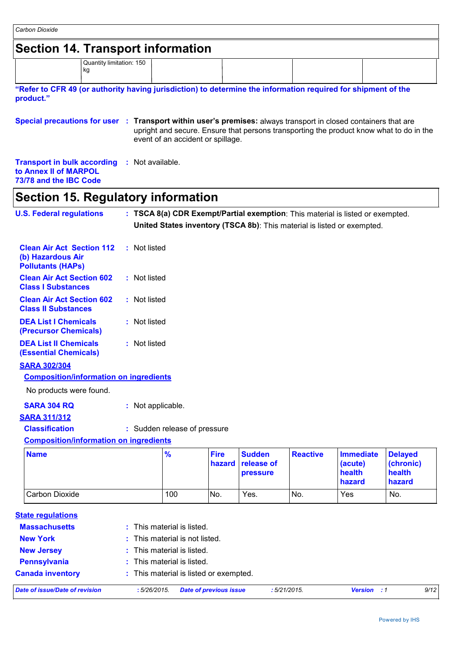| Carbon Dioxide                                                                                                             |                   |                                        |                       |                                         |                 |                                                                                                                                                           |                                                 |
|----------------------------------------------------------------------------------------------------------------------------|-------------------|----------------------------------------|-----------------------|-----------------------------------------|-----------------|-----------------------------------------------------------------------------------------------------------------------------------------------------------|-------------------------------------------------|
| <b>Section 14. Transport information</b>                                                                                   |                   |                                        |                       |                                         |                 |                                                                                                                                                           |                                                 |
| Quantity limitation: 150<br>kg                                                                                             |                   |                                        |                       |                                         |                 |                                                                                                                                                           |                                                 |
| "Refer to CFR 49 (or authority having jurisdiction) to determine the information required for shipment of the<br>product." |                   |                                        |                       |                                         |                 |                                                                                                                                                           |                                                 |
| Special precautions for user : Transport within user's premises: always transport in closed containers that are            |                   | event of an accident or spillage.      |                       |                                         |                 | upright and secure. Ensure that persons transporting the product know what to do in the                                                                   |                                                 |
| <b>Transport in bulk according</b><br>to Annex II of MARPOL<br>73/78 and the IBC Code                                      | : Not available.  |                                        |                       |                                         |                 |                                                                                                                                                           |                                                 |
| <b>Section 15. Regulatory information</b>                                                                                  |                   |                                        |                       |                                         |                 |                                                                                                                                                           |                                                 |
| <b>U.S. Federal regulations</b>                                                                                            |                   |                                        |                       |                                         |                 | : TSCA 8(a) CDR Exempt/Partial exemption: This material is listed or exempted.<br>United States inventory (TSCA 8b): This material is listed or exempted. |                                                 |
| <b>Clean Air Act Section 112</b><br>(b) Hazardous Air<br><b>Pollutants (HAPS)</b>                                          | : Not listed      |                                        |                       |                                         |                 |                                                                                                                                                           |                                                 |
| <b>Clean Air Act Section 602</b><br><b>Class I Substances</b>                                                              | : Not listed      |                                        |                       |                                         |                 |                                                                                                                                                           |                                                 |
| <b>Clean Air Act Section 602</b><br><b>Class II Substances</b>                                                             | : Not listed      |                                        |                       |                                         |                 |                                                                                                                                                           |                                                 |
| <b>DEA List I Chemicals</b><br>(Precursor Chemicals)                                                                       | : Not listed      |                                        |                       |                                         |                 |                                                                                                                                                           |                                                 |
| <b>DEA List II Chemicals</b><br><b>(Essential Chemicals)</b>                                                               | : Not listed      |                                        |                       |                                         |                 |                                                                                                                                                           |                                                 |
| <b>SARA 302/304</b>                                                                                                        |                   |                                        |                       |                                         |                 |                                                                                                                                                           |                                                 |
| <b>Composition/information on ingredients</b>                                                                              |                   |                                        |                       |                                         |                 |                                                                                                                                                           |                                                 |
| No products were found.                                                                                                    |                   |                                        |                       |                                         |                 |                                                                                                                                                           |                                                 |
| <b>SARA 304 RQ</b>                                                                                                         | : Not applicable. |                                        |                       |                                         |                 |                                                                                                                                                           |                                                 |
| <b>SARA 311/312</b><br><b>Classification</b>                                                                               |                   | : Sudden release of pressure           |                       |                                         |                 |                                                                                                                                                           |                                                 |
| <b>Composition/information on ingredients</b>                                                                              |                   |                                        |                       |                                         |                 |                                                                                                                                                           |                                                 |
| <b>Name</b>                                                                                                                |                   | $\frac{9}{6}$                          | <b>Fire</b><br>hazard | <b>Sudden</b><br>release of<br>pressure | <b>Reactive</b> | <b>Immediate</b><br>(acute)<br>health<br>hazard                                                                                                           | <b>Delayed</b><br>(chronic)<br>health<br>hazard |
| <b>Carbon Dioxide</b>                                                                                                      |                   | 100                                    | No.                   | Yes.                                    | No.             | Yes                                                                                                                                                       | No.                                             |
| <b>State regulations</b>                                                                                                   |                   |                                        |                       |                                         |                 |                                                                                                                                                           |                                                 |
| <b>Massachusetts</b>                                                                                                       |                   | : This material is listed.             |                       |                                         |                 |                                                                                                                                                           |                                                 |
| <b>New York</b>                                                                                                            |                   | This material is not listed.           |                       |                                         |                 |                                                                                                                                                           |                                                 |
| <b>New Jersey</b>                                                                                                          | t.                | This material is listed.               |                       |                                         |                 |                                                                                                                                                           |                                                 |
| <b>Pennsylvania</b>                                                                                                        |                   | This material is listed.               |                       |                                         |                 |                                                                                                                                                           |                                                 |
| <b>Canada inventory</b>                                                                                                    |                   | : This material is listed or exempted. |                       |                                         |                 |                                                                                                                                                           |                                                 |
| <b>Date of issue/Date of revision</b>                                                                                      | :5/26/2015.       | <b>Date of previous issue</b>          |                       |                                         | : 5/21/2015.    | <b>Version</b> : 1                                                                                                                                        | 9/12                                            |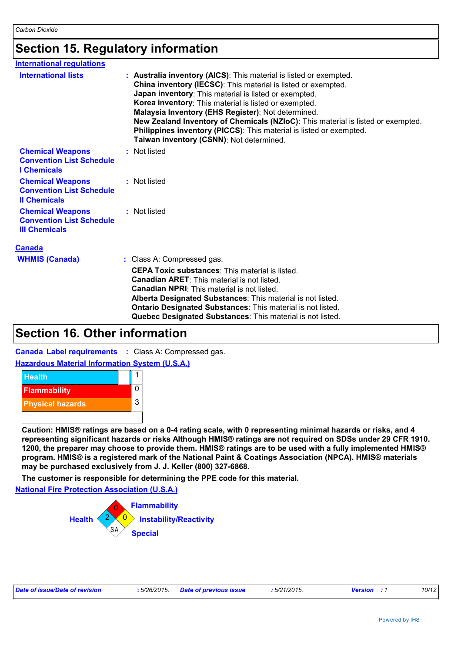## **Section 15. Regulatory information**

| <b>International requlations</b>                                                                                                                                                                                                                                                                                                                                                                         |                     |                                                                                                                                                                                                                                                                                                                                                                                                                                                                                                                    |  |  |
|----------------------------------------------------------------------------------------------------------------------------------------------------------------------------------------------------------------------------------------------------------------------------------------------------------------------------------------------------------------------------------------------------------|---------------------|--------------------------------------------------------------------------------------------------------------------------------------------------------------------------------------------------------------------------------------------------------------------------------------------------------------------------------------------------------------------------------------------------------------------------------------------------------------------------------------------------------------------|--|--|
| <b>International lists</b>                                                                                                                                                                                                                                                                                                                                                                               |                     | : Australia inventory (AICS): This material is listed or exempted.<br>China inventory (IECSC): This material is listed or exempted.<br>Japan inventory: This material is listed or exempted.<br>Korea inventory: This material is listed or exempted.<br>Malaysia Inventory (EHS Register): Not determined.<br>New Zealand Inventory of Chemicals (NZIoC): This material is listed or exempted.<br>Philippines inventory (PICCS): This material is listed or exempted.<br>Taiwan inventory (CSNN): Not determined. |  |  |
| <b>Chemical Weapons</b><br><b>Convention List Schedule</b><br><b>I</b> Chemicals                                                                                                                                                                                                                                                                                                                         | Not listed          |                                                                                                                                                                                                                                                                                                                                                                                                                                                                                                                    |  |  |
| <b>Chemical Weapons</b><br><b>Convention List Schedule</b><br><b>Il Chemicals</b>                                                                                                                                                                                                                                                                                                                        | : Not listed        |                                                                                                                                                                                                                                                                                                                                                                                                                                                                                                                    |  |  |
| <b>Chemical Weapons</b><br><b>Convention List Schedule</b><br><b>III Chemicals</b>                                                                                                                                                                                                                                                                                                                       | : Not listed        |                                                                                                                                                                                                                                                                                                                                                                                                                                                                                                                    |  |  |
| <b>Canada</b>                                                                                                                                                                                                                                                                                                                                                                                            |                     |                                                                                                                                                                                                                                                                                                                                                                                                                                                                                                                    |  |  |
| <b>WHMIS (Canada)</b>                                                                                                                                                                                                                                                                                                                                                                                    |                     | : Class A: Compressed gas.                                                                                                                                                                                                                                                                                                                                                                                                                                                                                         |  |  |
|                                                                                                                                                                                                                                                                                                                                                                                                          |                     | <b>CEPA Toxic substances:</b> This material is listed.                                                                                                                                                                                                                                                                                                                                                                                                                                                             |  |  |
|                                                                                                                                                                                                                                                                                                                                                                                                          |                     | <b>Canadian ARET:</b> This material is not listed.                                                                                                                                                                                                                                                                                                                                                                                                                                                                 |  |  |
|                                                                                                                                                                                                                                                                                                                                                                                                          |                     | <b>Canadian NPRI:</b> This material is not listed.<br>Alberta Designated Substances: This material is not listed.                                                                                                                                                                                                                                                                                                                                                                                                  |  |  |
|                                                                                                                                                                                                                                                                                                                                                                                                          |                     | Ontario Designated Substances: This material is not listed.                                                                                                                                                                                                                                                                                                                                                                                                                                                        |  |  |
|                                                                                                                                                                                                                                                                                                                                                                                                          |                     | Quebec Designated Substances: This material is not listed.                                                                                                                                                                                                                                                                                                                                                                                                                                                         |  |  |
| <b>Section 16. Other information</b>                                                                                                                                                                                                                                                                                                                                                                     |                     |                                                                                                                                                                                                                                                                                                                                                                                                                                                                                                                    |  |  |
| <b>Canada Label requirements : Class A: Compressed gas.</b>                                                                                                                                                                                                                                                                                                                                              |                     |                                                                                                                                                                                                                                                                                                                                                                                                                                                                                                                    |  |  |
| <b>Hazardous Material Information System (U.S.A.)</b>                                                                                                                                                                                                                                                                                                                                                    |                     |                                                                                                                                                                                                                                                                                                                                                                                                                                                                                                                    |  |  |
| <b>Health</b>                                                                                                                                                                                                                                                                                                                                                                                            | 1                   |                                                                                                                                                                                                                                                                                                                                                                                                                                                                                                                    |  |  |
| <b>Flammability</b>                                                                                                                                                                                                                                                                                                                                                                                      | 0                   |                                                                                                                                                                                                                                                                                                                                                                                                                                                                                                                    |  |  |
| <b>Physical hazards</b>                                                                                                                                                                                                                                                                                                                                                                                  | 3                   |                                                                                                                                                                                                                                                                                                                                                                                                                                                                                                                    |  |  |
|                                                                                                                                                                                                                                                                                                                                                                                                          |                     |                                                                                                                                                                                                                                                                                                                                                                                                                                                                                                                    |  |  |
| Caution: HMIS® ratings are based on a 0-4 rating scale, with 0 representing minimal hazards or risks, and 4                                                                                                                                                                                                                                                                                              |                     |                                                                                                                                                                                                                                                                                                                                                                                                                                                                                                                    |  |  |
| representing significant hazards or risks Although HMIS® ratings are not required on SDSs under 29 CFR 1910.<br>1200, the preparer may choose to provide them. HMIS® ratings are to be used with a fully implemented HMIS®<br>program. HMIS® is a registered mark of the National Paint & Coatings Association (NPCA). HMIS® materials<br>may be purchased exclusively from J. J. Keller (800) 327-6868. |                     |                                                                                                                                                                                                                                                                                                                                                                                                                                                                                                                    |  |  |
| The customer is responsible for determining the PPE code for this material.                                                                                                                                                                                                                                                                                                                              |                     |                                                                                                                                                                                                                                                                                                                                                                                                                                                                                                                    |  |  |
| <b>National Fire Protection Association (U.S.A.)</b>                                                                                                                                                                                                                                                                                                                                                     |                     |                                                                                                                                                                                                                                                                                                                                                                                                                                                                                                                    |  |  |
|                                                                                                                                                                                                                                                                                                                                                                                                          | <b>Flammability</b> |                                                                                                                                                                                                                                                                                                                                                                                                                                                                                                                    |  |  |
| <b>Health</b>                                                                                                                                                                                                                                                                                                                                                                                            |                     | <b>Instability/Reactivity</b>                                                                                                                                                                                                                                                                                                                                                                                                                                                                                      |  |  |
|                                                                                                                                                                                                                                                                                                                                                                                                          |                     |                                                                                                                                                                                                                                                                                                                                                                                                                                                                                                                    |  |  |
|                                                                                                                                                                                                                                                                                                                                                                                                          | <b>Special</b>      |                                                                                                                                                                                                                                                                                                                                                                                                                                                                                                                    |  |  |
|                                                                                                                                                                                                                                                                                                                                                                                                          |                     |                                                                                                                                                                                                                                                                                                                                                                                                                                                                                                                    |  |  |
|                                                                                                                                                                                                                                                                                                                                                                                                          |                     |                                                                                                                                                                                                                                                                                                                                                                                                                                                                                                                    |  |  |

### **Section 16. Other information**

#### **Hazardous Material Information System (U.S.A.)**



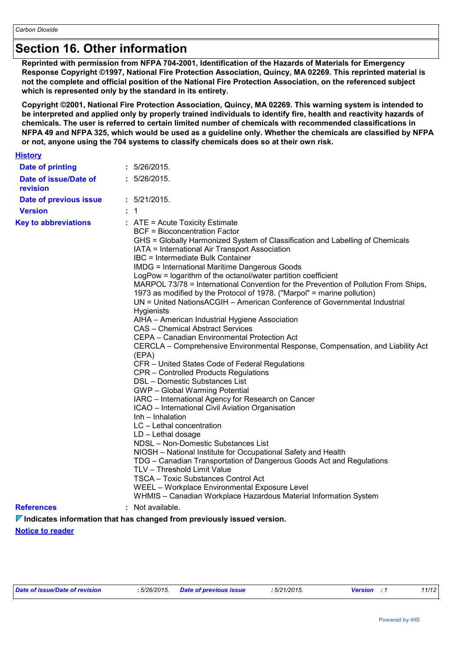### **Section 16. Other information**

**Reprinted with permission from NFPA 704-2001, Identification of the Hazards of Materials for Emergency Response Copyright ©1997, National Fire Protection Association, Quincy, MA 02269. This reprinted material is not the complete and official position of the National Fire Protection Association, on the referenced subject which is represented only by the standard in its entirety.**

**Copyright ©2001, National Fire Protection Association, Quincy, MA 02269. This warning system is intended to be interpreted and applied only by properly trained individuals to identify fire, health and reactivity hazards of chemicals. The user is referred to certain limited number of chemicals with recommended classifications in NFPA 49 and NFPA 325, which would be used as a guideline only. Whether the chemicals are classified by NFPA or not, anyone using the 704 systems to classify chemicals does so at their own risk.**

| <b>History</b> |  |  |
|----------------|--|--|
|                |  |  |

| <b>Date of printing</b>           | : 5/26/2015.                                                                                                                                                                                                                                                                                                                                                                                                                                                                                                                                                                                                                                                                                                                                                                                                                                                                                                                                                                                                                                                                                                                                                                                                                                                                                                                                                                                                                                                                                                                                                                                                               |
|-----------------------------------|----------------------------------------------------------------------------------------------------------------------------------------------------------------------------------------------------------------------------------------------------------------------------------------------------------------------------------------------------------------------------------------------------------------------------------------------------------------------------------------------------------------------------------------------------------------------------------------------------------------------------------------------------------------------------------------------------------------------------------------------------------------------------------------------------------------------------------------------------------------------------------------------------------------------------------------------------------------------------------------------------------------------------------------------------------------------------------------------------------------------------------------------------------------------------------------------------------------------------------------------------------------------------------------------------------------------------------------------------------------------------------------------------------------------------------------------------------------------------------------------------------------------------------------------------------------------------------------------------------------------------|
| Date of issue/Date of<br>revision | : 5/26/2015.                                                                                                                                                                                                                                                                                                                                                                                                                                                                                                                                                                                                                                                                                                                                                                                                                                                                                                                                                                                                                                                                                                                                                                                                                                                                                                                                                                                                                                                                                                                                                                                                               |
| Date of previous issue            | : 5/21/2015.                                                                                                                                                                                                                                                                                                                                                                                                                                                                                                                                                                                                                                                                                                                                                                                                                                                                                                                                                                                                                                                                                                                                                                                                                                                                                                                                                                                                                                                                                                                                                                                                               |
| <b>Version</b>                    | : 1                                                                                                                                                                                                                                                                                                                                                                                                                                                                                                                                                                                                                                                                                                                                                                                                                                                                                                                                                                                                                                                                                                                                                                                                                                                                                                                                                                                                                                                                                                                                                                                                                        |
| <b>Key to abbreviations</b>       | : ATE = Acute Toxicity Estimate<br><b>BCF = Bioconcentration Factor</b><br>GHS = Globally Harmonized System of Classification and Labelling of Chemicals<br>IATA = International Air Transport Association<br>IBC = Intermediate Bulk Container<br><b>IMDG = International Maritime Dangerous Goods</b><br>LogPow = logarithm of the octanol/water partition coefficient<br>MARPOL 73/78 = International Convention for the Prevention of Pollution From Ships,<br>1973 as modified by the Protocol of 1978. ("Marpol" = marine pollution)<br>UN = United NationsACGIH – American Conference of Governmental Industrial<br><b>Hygienists</b><br>AIHA - American Industrial Hygiene Association<br><b>CAS</b> - Chemical Abstract Services<br>CEPA - Canadian Environmental Protection Act<br>CERCLA – Comprehensive Environmental Response, Compensation, and Liability Act<br>(EPA)<br>CFR - United States Code of Federal Regulations<br>CPR – Controlled Products Regulations<br>DSL - Domestic Substances List<br><b>GWP</b> - Global Warming Potential<br>IARC - International Agency for Research on Cancer<br>ICAO - International Civil Aviation Organisation<br>Inh - Inhalation<br>LC - Lethal concentration<br>$LD - Let$ hal dosage<br>NDSL - Non-Domestic Substances List<br>NIOSH - National Institute for Occupational Safety and Health<br>TDG - Canadian Transportation of Dangerous Goods Act and Regulations<br>TLV - Threshold Limit Value<br>TSCA - Toxic Substances Control Act<br>WEEL - Workplace Environmental Exposure Level<br>WHMIS - Canadian Workplace Hazardous Material Information System |
| <b>References</b>                 | : Not available.                                                                                                                                                                                                                                                                                                                                                                                                                                                                                                                                                                                                                                                                                                                                                                                                                                                                                                                                                                                                                                                                                                                                                                                                                                                                                                                                                                                                                                                                                                                                                                                                           |
|                                   |                                                                                                                                                                                                                                                                                                                                                                                                                                                                                                                                                                                                                                                                                                                                                                                                                                                                                                                                                                                                                                                                                                                                                                                                                                                                                                                                                                                                                                                                                                                                                                                                                            |

**Notice to reader** *V* **Indicates information that has changed from previously issued version.**